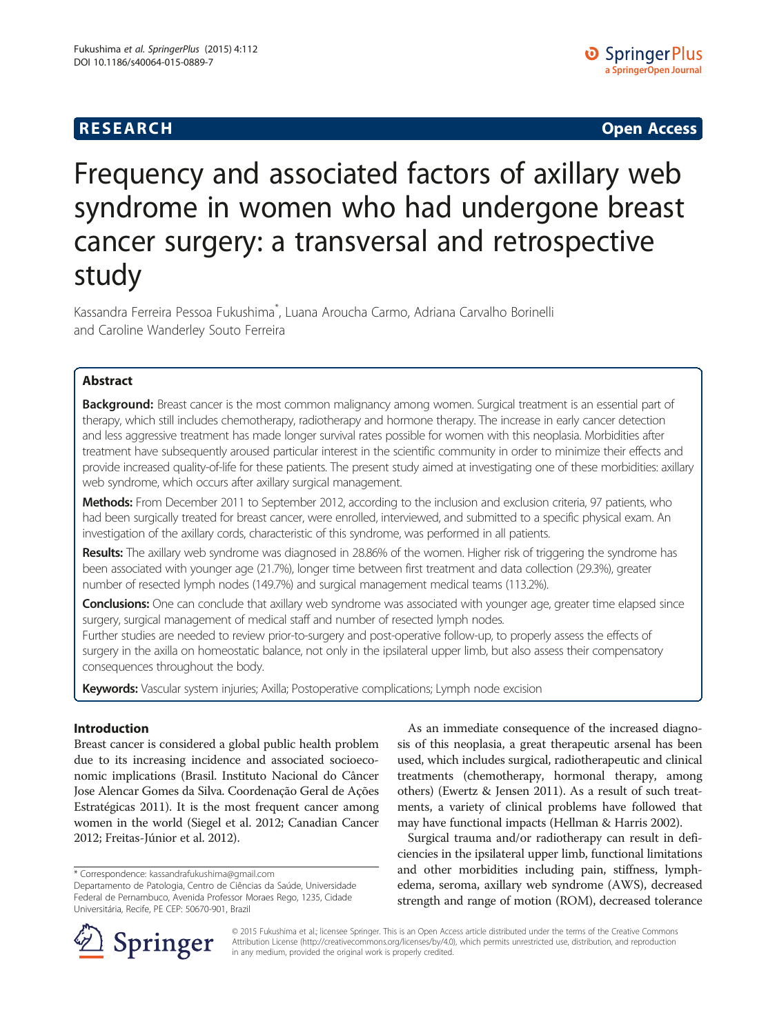# **RESEARCH RESEARCH** *CHECK CHECK CHECK CHECK CHECK CHECK CHECK CHECK CHECK CHECK CHECK CHECK CHECK CHECK CHECK CHECK CHECK CHECK CHECK CHECK CHECK CHECK CHECK CHECK CHECK CHECK CHECK CHECK CHECK CHECK CHECK CHECK CHECK*

# Frequency and associated factors of axillary web syndrome in women who had undergone breast cancer surgery: a transversal and retrospective study

Kassandra Ferreira Pessoa Fukushima\* , Luana Aroucha Carmo, Adriana Carvalho Borinelli and Caroline Wanderley Souto Ferreira

# Abstract

Background: Breast cancer is the most common malignancy among women. Surgical treatment is an essential part of therapy, which still includes chemotherapy, radiotherapy and hormone therapy. The increase in early cancer detection and less aggressive treatment has made longer survival rates possible for women with this neoplasia. Morbidities after treatment have subsequently aroused particular interest in the scientific community in order to minimize their effects and provide increased quality-of-life for these patients. The present study aimed at investigating one of these morbidities: axillary web syndrome, which occurs after axillary surgical management.

Methods: From December 2011 to September 2012, according to the inclusion and exclusion criteria, 97 patients, who had been surgically treated for breast cancer, were enrolled, interviewed, and submitted to a specific physical exam. An investigation of the axillary cords, characteristic of this syndrome, was performed in all patients.

Results: The axillary web syndrome was diagnosed in 28.86% of the women. Higher risk of triggering the syndrome has been associated with younger age (21.7%), longer time between first treatment and data collection (29.3%), greater number of resected lymph nodes (149.7%) and surgical management medical teams (113.2%).

Conclusions: One can conclude that axillary web syndrome was associated with younger age, greater time elapsed since surgery, surgical management of medical staff and number of resected lymph nodes.

Further studies are needed to review prior-to-surgery and post-operative follow-up, to properly assess the effects of surgery in the axilla on homeostatic balance, not only in the ipsilateral upper limb, but also assess their compensatory consequences throughout the body.

Keywords: Vascular system injuries; Axilla; Postoperative complications; Lymph node excision

# Introduction

Breast cancer is considered a global public health problem due to its increasing incidence and associated socioeconomic implications (Brasil. Instituto Nacional do Câncer Jose Alencar Gomes da Silva. Coordenação Geral de Ações Estratégicas [2011\)](#page-6-0). It is the most frequent cancer among women in the world (Siegel et al. [2012](#page-6-0); Canadian Cancer [2012;](#page-6-0) Freitas-Júnior et al. [2012\)](#page-6-0).

As an immediate consequence of the increased diagnosis of this neoplasia, a great therapeutic arsenal has been used, which includes surgical, radiotherapeutic and clinical treatments (chemotherapy, hormonal therapy, among others) (Ewertz & Jensen [2011](#page-6-0)). As a result of such treatments, a variety of clinical problems have followed that may have functional impacts (Hellman & Harris [2002](#page-6-0)).

Surgical trauma and/or radiotherapy can result in deficiencies in the ipsilateral upper limb, functional limitations and other morbidities including pain, stiffness, lymphedema, seroma, axillary web syndrome (AWS), decreased strength and range of motion (ROM), decreased tolerance



© 2015 Fukushima et al.; licensee Springer. This is an Open Access article distributed under the terms of the Creative Commons Attribution License [\(http://creativecommons.org/licenses/by/4.0\)](http://creativecommons.org/licenses/by/4.0), which permits unrestricted use, distribution, and reproduction in any medium, provided the original work is properly credited.

<sup>\*</sup> Correspondence: [kassandrafukushima@gmail.com](mailto:kassandrafukushima@gmail.com)

Departamento de Patologia, Centro de Ciências da Saúde, Universidade Federal de Pernambuco, Avenida Professor Moraes Rego, 1235, Cidade Universitária, Recife, PE CEP: 50670-901, Brazil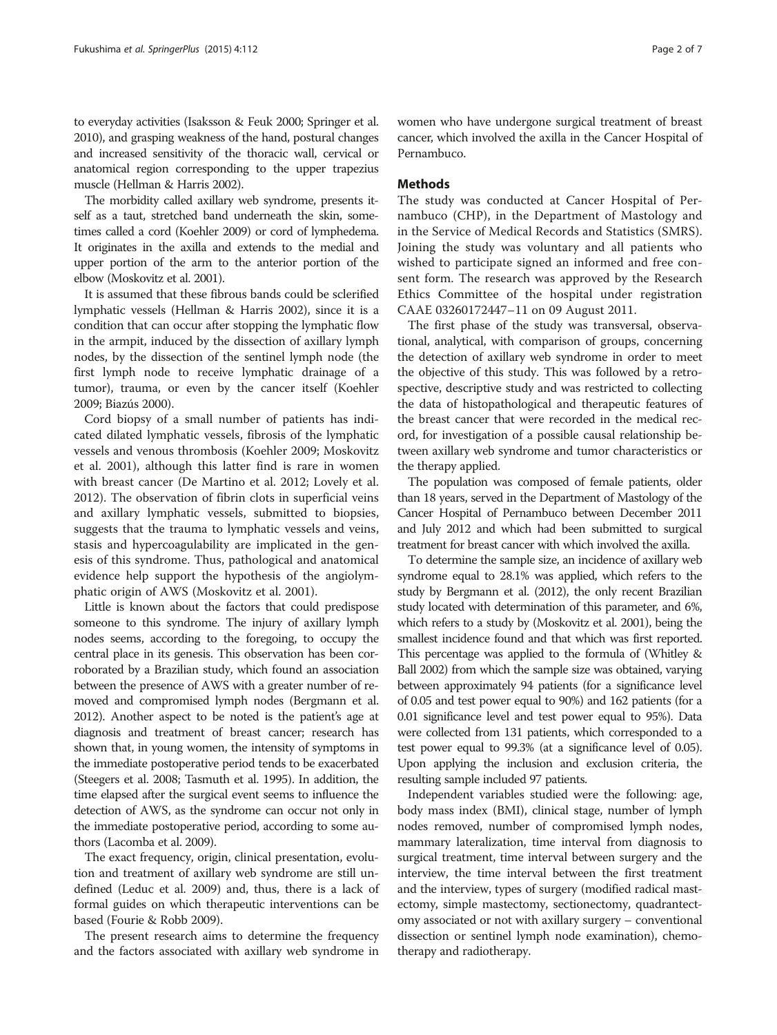to everyday activities (Isaksson & Feuk [2000;](#page-6-0) Springer et al. [2010\)](#page-6-0), and grasping weakness of the hand, postural changes and increased sensitivity of the thoracic wall, cervical or anatomical region corresponding to the upper trapezius muscle (Hellman & Harris [2002\)](#page-6-0).

The morbidity called axillary web syndrome, presents itself as a taut, stretched band underneath the skin, sometimes called a cord (Koehler [2009](#page-6-0)) or cord of lymphedema. It originates in the axilla and extends to the medial and upper portion of the arm to the anterior portion of the elbow (Moskovitz et al. [2001](#page-6-0)).

It is assumed that these fibrous bands could be sclerified lymphatic vessels (Hellman & Harris [2002\)](#page-6-0), since it is a condition that can occur after stopping the lymphatic flow in the armpit, induced by the dissection of axillary lymph nodes, by the dissection of the sentinel lymph node (the first lymph node to receive lymphatic drainage of a tumor), trauma, or even by the cancer itself (Koehler [2009;](#page-6-0) Biazús [2000](#page-6-0)).

Cord biopsy of a small number of patients has indicated dilated lymphatic vessels, fibrosis of the lymphatic vessels and venous thrombosis (Koehler [2009;](#page-6-0) Moskovitz et al. [2001\)](#page-6-0), although this latter find is rare in women with breast cancer (De Martino et al. [2012;](#page-6-0) Lovely et al. [2012](#page-6-0)). The observation of fibrin clots in superficial veins and axillary lymphatic vessels, submitted to biopsies, suggests that the trauma to lymphatic vessels and veins, stasis and hypercoagulability are implicated in the genesis of this syndrome. Thus, pathological and anatomical evidence help support the hypothesis of the angiolymphatic origin of AWS (Moskovitz et al. [2001](#page-6-0)).

Little is known about the factors that could predispose someone to this syndrome. The injury of axillary lymph nodes seems, according to the foregoing, to occupy the central place in its genesis. This observation has been corroborated by a Brazilian study, which found an association between the presence of AWS with a greater number of removed and compromised lymph nodes (Bergmann et al. [2012\)](#page-6-0). Another aspect to be noted is the patient's age at diagnosis and treatment of breast cancer; research has shown that, in young women, the intensity of symptoms in the immediate postoperative period tends to be exacerbated (Steegers et al. [2008](#page-6-0); Tasmuth et al. [1995\)](#page-6-0). In addition, the time elapsed after the surgical event seems to influence the detection of AWS, as the syndrome can occur not only in the immediate postoperative period, according to some authors (Lacomba et al. [2009\)](#page-6-0).

The exact frequency, origin, clinical presentation, evolution and treatment of axillary web syndrome are still undefined (Leduc et al. [2009](#page-6-0)) and, thus, there is a lack of formal guides on which therapeutic interventions can be based (Fourie & Robb [2009\)](#page-6-0).

The present research aims to determine the frequency and the factors associated with axillary web syndrome in women who have undergone surgical treatment of breast cancer, which involved the axilla in the Cancer Hospital of Pernambuco.

# Methods

The study was conducted at Cancer Hospital of Pernambuco (CHP), in the Department of Mastology and in the Service of Medical Records and Statistics (SMRS). Joining the study was voluntary and all patients who wished to participate signed an informed and free consent form. The research was approved by the Research Ethics Committee of the hospital under registration CAAE 03260172447–11 on 09 August 2011.

The first phase of the study was transversal, observational, analytical, with comparison of groups, concerning the detection of axillary web syndrome in order to meet the objective of this study. This was followed by a retrospective, descriptive study and was restricted to collecting the data of histopathological and therapeutic features of the breast cancer that were recorded in the medical record, for investigation of a possible causal relationship between axillary web syndrome and tumor characteristics or the therapy applied.

The population was composed of female patients, older than 18 years, served in the Department of Mastology of the Cancer Hospital of Pernambuco between December 2011 and July 2012 and which had been submitted to surgical treatment for breast cancer with which involved the axilla.

To determine the sample size, an incidence of axillary web syndrome equal to 28.1% was applied, which refers to the study by Bergmann et al. ([2012](#page-6-0)), the only recent Brazilian study located with determination of this parameter, and 6%, which refers to a study by (Moskovitz et al. [2001\)](#page-6-0), being the smallest incidence found and that which was first reported. This percentage was applied to the formula of (Whitley & Ball [2002\)](#page-6-0) from which the sample size was obtained, varying between approximately 94 patients (for a significance level of 0.05 and test power equal to 90%) and 162 patients (for a 0.01 significance level and test power equal to 95%). Data were collected from 131 patients, which corresponded to a test power equal to 99.3% (at a significance level of 0.05). Upon applying the inclusion and exclusion criteria, the resulting sample included 97 patients.

Independent variables studied were the following: age, body mass index (BMI), clinical stage, number of lymph nodes removed, number of compromised lymph nodes, mammary lateralization, time interval from diagnosis to surgical treatment, time interval between surgery and the interview, the time interval between the first treatment and the interview, types of surgery (modified radical mastectomy, simple mastectomy, sectionectomy, quadrantectomy associated or not with axillary surgery – conventional dissection or sentinel lymph node examination), chemotherapy and radiotherapy.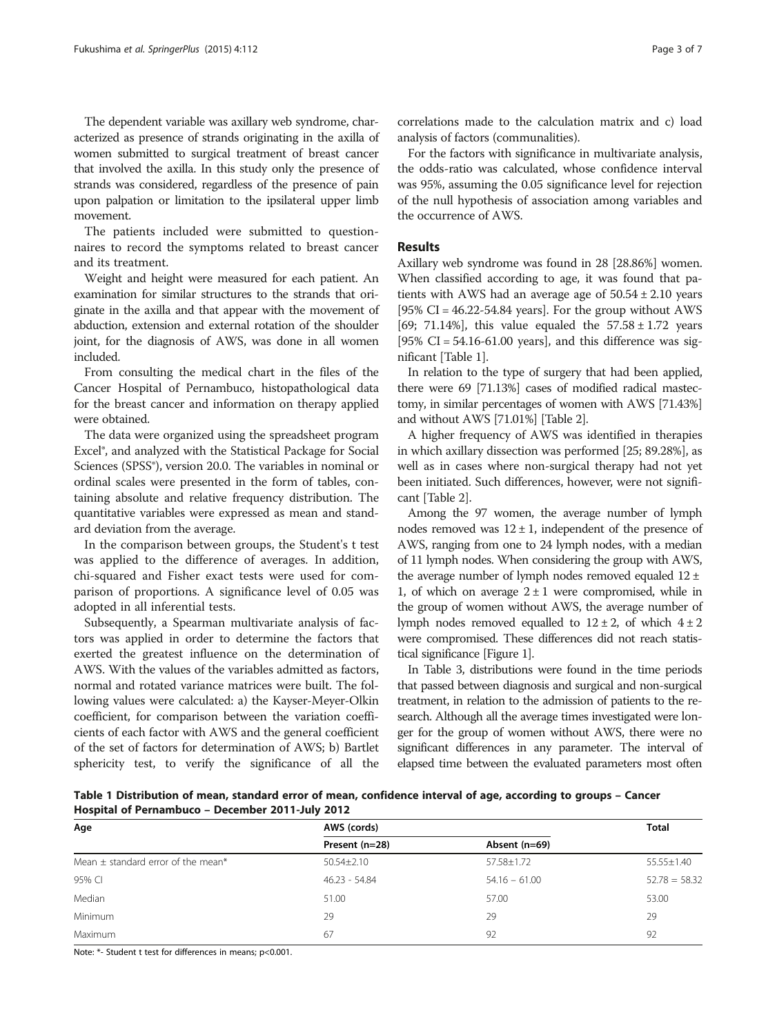The dependent variable was axillary web syndrome, characterized as presence of strands originating in the axilla of women submitted to surgical treatment of breast cancer that involved the axilla. In this study only the presence of strands was considered, regardless of the presence of pain upon palpation or limitation to the ipsilateral upper limb movement.

The patients included were submitted to questionnaires to record the symptoms related to breast cancer and its treatment.

Weight and height were measured for each patient. An examination for similar structures to the strands that originate in the axilla and that appear with the movement of abduction, extension and external rotation of the shoulder joint, for the diagnosis of AWS, was done in all women included.

From consulting the medical chart in the files of the Cancer Hospital of Pernambuco, histopathological data for the breast cancer and information on therapy applied were obtained.

The data were organized using the spreadsheet program Excel®, and analyzed with the Statistical Package for Social Sciences (SPSS<sup>®</sup>), version 20.0. The variables in nominal or ordinal scales were presented in the form of tables, containing absolute and relative frequency distribution. The quantitative variables were expressed as mean and standard deviation from the average.

In the comparison between groups, the Student's t test was applied to the difference of averages. In addition, chi-squared and Fisher exact tests were used for comparison of proportions. A significance level of 0.05 was adopted in all inferential tests.

Subsequently, a Spearman multivariate analysis of factors was applied in order to determine the factors that exerted the greatest influence on the determination of AWS. With the values of the variables admitted as factors, normal and rotated variance matrices were built. The following values were calculated: a) the Kayser-Meyer-Olkin coefficient, for comparison between the variation coefficients of each factor with AWS and the general coefficient of the set of factors for determination of AWS; b) Bartlet sphericity test, to verify the significance of all the

correlations made to the calculation matrix and c) load analysis of factors (communalities).

For the factors with significance in multivariate analysis, the odds-ratio was calculated, whose confidence interval was 95%, assuming the 0.05 significance level for rejection of the null hypothesis of association among variables and the occurrence of AWS.

## Results

Axillary web syndrome was found in 28 [28.86%] women. When classified according to age, it was found that patients with AWS had an average age of  $50.54 \pm 2.10$  years [95% CI =  $46.22 - 54.84$  years]. For the group without AWS [69; 71.14%], this value equaled the  $57.58 \pm 1.72$  years [95%  $CI = 54.16-61.00$  years], and this difference was significant [Table 1].

In relation to the type of surgery that had been applied, there were 69 [71.13%] cases of modified radical mastectomy, in similar percentages of women with AWS [71.43%] and without AWS [71.01%] [Table [2](#page-3-0)].

A higher frequency of AWS was identified in therapies in which axillary dissection was performed [25; 89.28%], as well as in cases where non-surgical therapy had not yet been initiated. Such differences, however, were not significant [Table [2](#page-3-0)].

Among the 97 women, the average number of lymph nodes removed was  $12 \pm 1$ , independent of the presence of AWS, ranging from one to 24 lymph nodes, with a median of 11 lymph nodes. When considering the group with AWS, the average number of lymph nodes removed equaled  $12 \pm$ 1, of which on average  $2 \pm 1$  were compromised, while in the group of women without AWS, the average number of lymph nodes removed equalled to  $12 \pm 2$ , of which  $4 \pm 2$ were compromised. These differences did not reach statistical significance [Figure [1\]](#page-3-0).

In Table [3](#page-4-0), distributions were found in the time periods that passed between diagnosis and surgical and non-surgical treatment, in relation to the admission of patients to the research. Although all the average times investigated were longer for the group of women without AWS, there were no significant differences in any parameter. The interval of elapsed time between the evaluated parameters most often

Table 1 Distribution of mean, standard error of mean, confidence interval of age, according to groups – Cancer Hospital of Pernambuco – December 2011-July 2012

| Age                                    | AWS (cords)      | <b>Total</b>     |                  |
|----------------------------------------|------------------|------------------|------------------|
|                                        | Present (n=28)   | Absent (n=69)    |                  |
| Mean $\pm$ standard error of the mean* | $50.54 \pm 2.10$ | $57.58 \pm 1.72$ | $55.55 \pm 1.40$ |
| 95% CI                                 | $46.23 - 54.84$  | $54.16 - 61.00$  | $52.78 = 58.32$  |
| Median                                 | 51.00            | 57.00            | 53.00            |
| Minimum                                | 29               | 29               | 29               |
| Maximum                                | 67               | 92               | 92               |

Note: \*- Student t test for differences in means; p<0.001.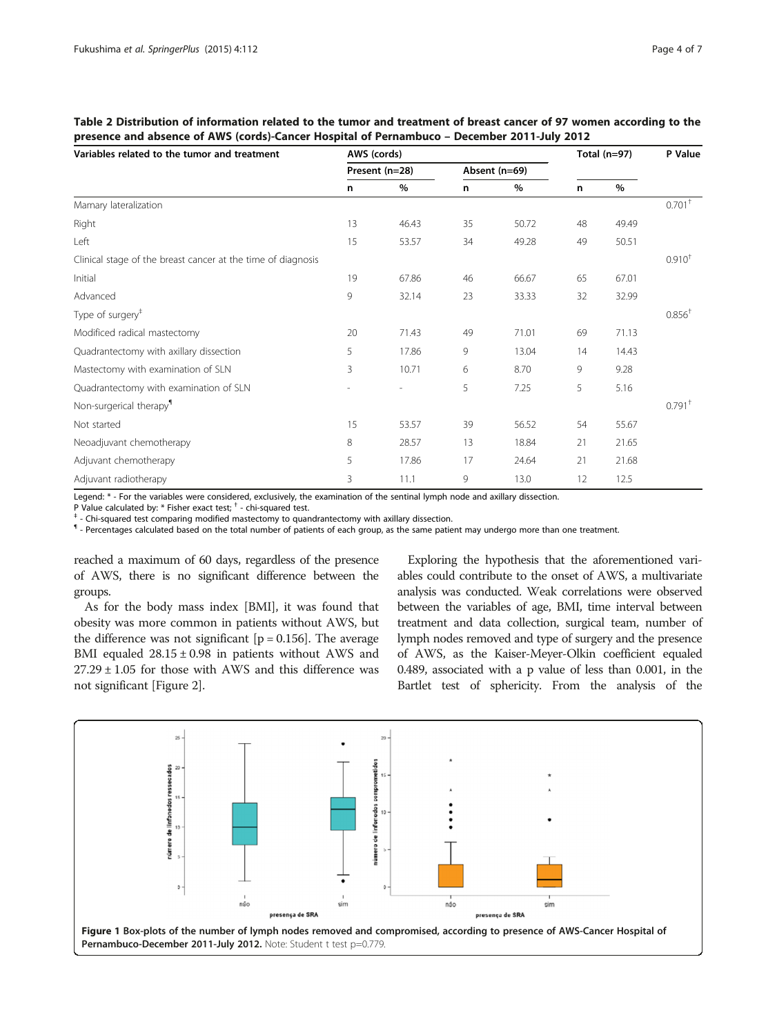| Variables related to the tumor and treatment                 | AWS (cords)    |       |               |       | Total (n=97) |       | P Value              |
|--------------------------------------------------------------|----------------|-------|---------------|-------|--------------|-------|----------------------|
|                                                              | Present (n=28) |       | Absent (n=69) |       |              |       |                      |
|                                                              | n              | $\%$  | n             | $\%$  | n            | $\%$  |                      |
| Mamary lateralization                                        |                |       |               |       |              |       | $0.701+$             |
| Right                                                        | 13             | 46.43 | 35            | 50.72 | 48           | 49.49 |                      |
| Left                                                         | 15             | 53.57 | 34            | 49.28 | 49           | 50.51 |                      |
| Clinical stage of the breast cancer at the time of diagnosis |                |       |               |       |              |       | $0.910^{+}$          |
| Initial                                                      | 19             | 67.86 | 46            | 66.67 | 65           | 67.01 |                      |
| Advanced                                                     | 9              | 32.14 | 23            | 33.33 | 32           | 32.99 |                      |
| Type of surgery <sup>#</sup>                                 |                |       |               |       |              |       | 0.856 <sup>†</sup>   |
| Modificed radical mastectomy                                 | 20             | 71.43 | 49            | 71.01 | 69           | 71.13 |                      |
| Quadrantectomy with axillary dissection                      | 5              | 17.86 | 9             | 13.04 | 14           | 14.43 |                      |
| Mastectomy with examination of SLN                           | 3              | 10.71 | 6             | 8.70  | 9            | 9.28  |                      |
| Quadrantectomy with examination of SLN                       |                |       | 5             | 7.25  | 5            | 5.16  |                      |
| Non-surgerical therapy <sup>1</sup>                          |                |       |               |       |              |       | $0.791$ <sup>+</sup> |
| Not started                                                  | 15             | 53.57 | 39            | 56.52 | 54           | 55.67 |                      |
| Neoadjuvant chemotherapy                                     | 8              | 28.57 | 13            | 18.84 | 21           | 21.65 |                      |
| Adjuvant chemotherapy                                        | 5              | 17.86 | 17            | 24.64 | 21           | 21.68 |                      |
| Adjuvant radiotherapy                                        | 3              | 11.1  | 9             | 13.0  | 12           | 12.5  |                      |

<span id="page-3-0"></span>Table 2 Distribution of information related to the tumor and treatment of breast cancer of 97 women according to the presence and absence of AWS (cords)-Cancer Hospital of Pernambuco – December 2011-July 2012

Legend:  $*$  - For the variables were considered, exclusively, the examination of the sentinal lymph node and axillary dissection.<br>P Value calculated by:  $*$  Fisher exact test;  $^{\dagger}$  - chi-squared test.

- Chi-squared test comparing modified mastectomy to quandrantectomy with axillary dissection.

¶ - Percentages calculated based on the total number of patients of each group, as the same patient may undergo more than one treatment.

reached a maximum of 60 days, regardless of the presence of AWS, there is no significant difference between the groups.

As for the body mass index [BMI], it was found that obesity was more common in patients without AWS, but the difference was not significant  $[p = 0.156]$ . The average BMI equaled  $28.15 \pm 0.98$  in patients without AWS and  $27.29 \pm 1.05$  for those with AWS and this difference was not significant [Figure [2\]](#page-4-0).

Exploring the hypothesis that the aforementioned variables could contribute to the onset of AWS, a multivariate analysis was conducted. Weak correlations were observed between the variables of age, BMI, time interval between treatment and data collection, surgical team, number of lymph nodes removed and type of surgery and the presence of AWS, as the Kaiser-Meyer-Olkin coefficient equaled 0.489, associated with a p value of less than 0.001, in the Bartlet test of sphericity. From the analysis of the

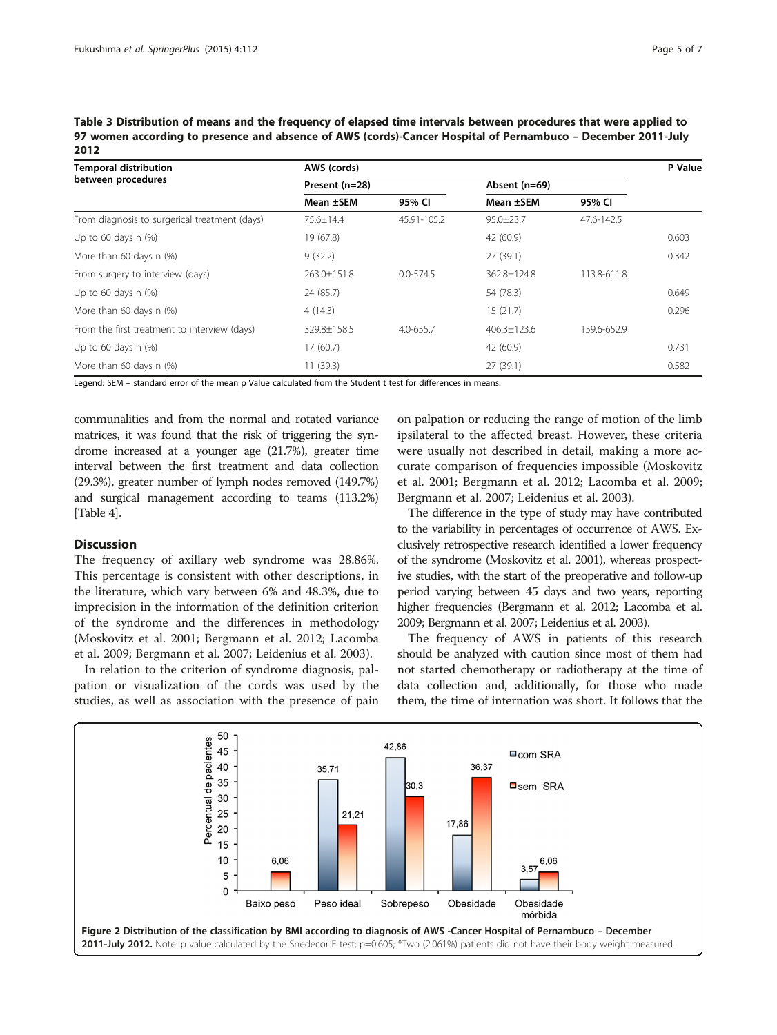<span id="page-4-0"></span>Table 3 Distribution of means and the frequency of elapsed time intervals between procedures that were applied to 97 women according to presence and absence of AWS (cords)-Cancer Hospital of Pernambuco – December 2011-July 2012

| <b>Temporal distribution</b><br>between procedures | AWS (cords)     |               |                 |             | P Value |
|----------------------------------------------------|-----------------|---------------|-----------------|-------------|---------|
|                                                    | Present (n=28)  |               | Absent (n=69)   |             |         |
|                                                    | Mean ±SEM       | 95% CI        | Mean ±SEM       | 95% CI      |         |
| From diagnosis to surgerical treatment (days)      | 75.6±14.4       | 45.91-105.2   | $95.0 \pm 23.7$ | 47.6-142.5  |         |
| Up to 60 days $n$ (%)                              | 19 (67.8)       |               | 42 (60.9)       |             | 0.603   |
| More than 60 days n (%)                            | 9(32.2)         |               | 27(39.1)        |             | 0.342   |
| From surgery to interview (days)                   | $263.0 + 151.8$ | $0.0 - 574.5$ | 362.8±124.8     | 113.8-611.8 |         |
| Up to 60 days $n$ (%)                              | 24 (85.7)       |               | 54 (78.3)       |             | 0.649   |
| More than 60 days n (%)                            | 4(14.3)         |               | 15(21.7)        |             | 0.296   |
| From the first treatment to interview (days)       | 329.8±158.5     | 4.0-655.7     | 406.3±123.6     | 159.6-652.9 |         |
| Up to 60 days $n$ (%)                              | 17(60.7)        |               | 42 (60.9)       |             | 0.731   |
| More than 60 days n (%)                            | 11(39.3)        |               | 27 (39.1)       |             | 0.582   |

Legend: SEM – standard error of the mean p Value calculated from the Student t test for differences in means.

communalities and from the normal and rotated variance matrices, it was found that the risk of triggering the syndrome increased at a younger age (21.7%), greater time interval between the first treatment and data collection (29.3%), greater number of lymph nodes removed (149.7%) and surgical management according to teams (113.2%) [Table [4](#page-5-0)].

# **Discussion**

The frequency of axillary web syndrome was 28.86%. This percentage is consistent with other descriptions, in the literature, which vary between 6% and 48.3%, due to imprecision in the information of the definition criterion of the syndrome and the differences in methodology (Moskovitz et al. [2001;](#page-6-0) Bergmann et al. [2012](#page-6-0); Lacomba et al. [2009;](#page-6-0) Bergmann et al. [2007](#page-6-0); Leidenius et al. [2003](#page-6-0)).

In relation to the criterion of syndrome diagnosis, palpation or visualization of the cords was used by the studies, as well as association with the presence of pain on palpation or reducing the range of motion of the limb ipsilateral to the affected breast. However, these criteria were usually not described in detail, making a more accurate comparison of frequencies impossible (Moskovitz et al. [2001;](#page-6-0) Bergmann et al. [2012;](#page-6-0) Lacomba et al. [2009](#page-6-0); Bergmann et al. [2007;](#page-6-0) Leidenius et al. [2003](#page-6-0)).

The difference in the type of study may have contributed to the variability in percentages of occurrence of AWS. Exclusively retrospective research identified a lower frequency of the syndrome (Moskovitz et al. [2001\)](#page-6-0), whereas prospective studies, with the start of the preoperative and follow-up period varying between 45 days and two years, reporting higher frequencies (Bergmann et al. [2012](#page-6-0); Lacomba et al. [2009](#page-6-0); Bergmann et al. [2007;](#page-6-0) Leidenius et al. [2003](#page-6-0)).

The frequency of AWS in patients of this research should be analyzed with caution since most of them had not started chemotherapy or radiotherapy at the time of data collection and, additionally, for those who made them, the time of internation was short. It follows that the

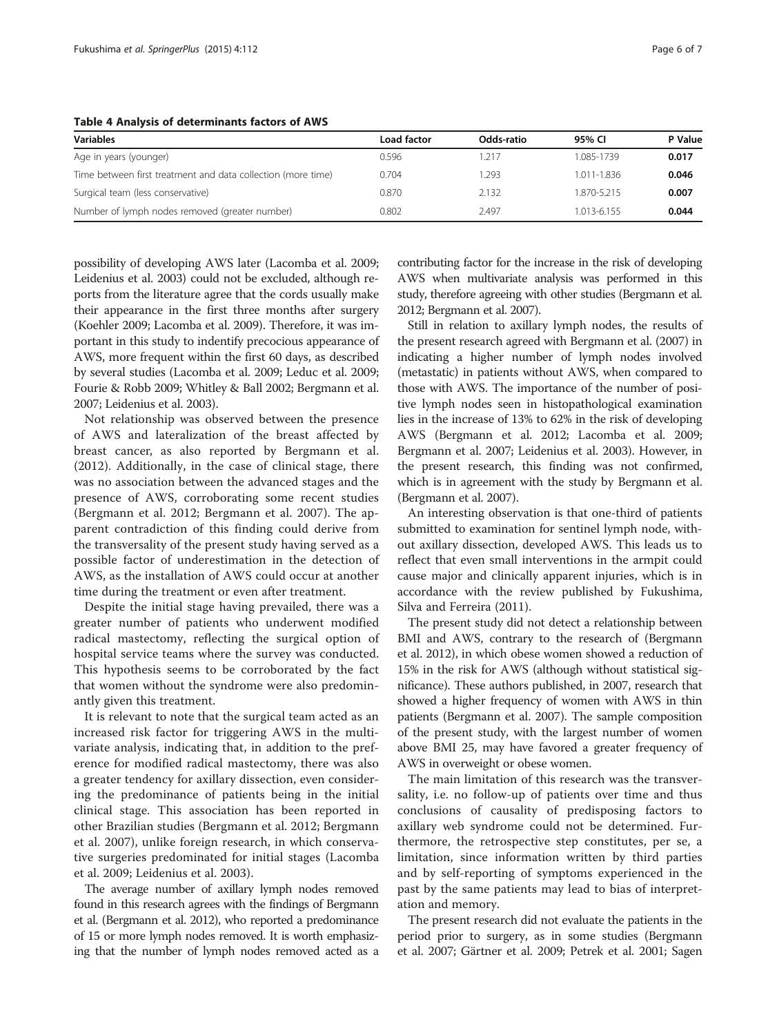<span id="page-5-0"></span>Table 4 Analysis of determinants factors of AWS

| <b>Variables</b>                                             | Load factor | Odds-ratio | 95% CI      | P Value |
|--------------------------------------------------------------|-------------|------------|-------------|---------|
| Age in years (younger)                                       | 0.596       | 1.217      | 1.085-1739  | 0.017   |
| Time between first treatment and data collection (more time) | 0.704       | 1.293      | 1.011-1.836 | 0.046   |
| Surgical team (less conservative)                            | 0.870       | 2.132      | 1.870-5.215 | 0.007   |
| Number of lymph nodes removed (greater number)               | 0.802       | 2.497      | 1.013-6.155 | 0.044   |

possibility of developing AWS later (Lacomba et al. [2009](#page-6-0); Leidenius et al. [2003\)](#page-6-0) could not be excluded, although reports from the literature agree that the cords usually make their appearance in the first three months after surgery (Koehler [2009](#page-6-0); Lacomba et al. [2009](#page-6-0)). Therefore, it was important in this study to indentify precocious appearance of AWS, more frequent within the first 60 days, as described by several studies (Lacomba et al. [2009](#page-6-0); Leduc et al. [2009](#page-6-0); Fourie & Robb [2009](#page-6-0); Whitley & Ball [2002](#page-6-0); Bergmann et al. [2007;](#page-6-0) Leidenius et al. [2003](#page-6-0)).

Not relationship was observed between the presence of AWS and lateralization of the breast affected by breast cancer, as also reported by Bergmann et al. ([2012\)](#page-6-0). Additionally, in the case of clinical stage, there was no association between the advanced stages and the presence of AWS, corroborating some recent studies (Bergmann et al. [2012;](#page-6-0) Bergmann et al. [2007\)](#page-6-0). The apparent contradiction of this finding could derive from the transversality of the present study having served as a possible factor of underestimation in the detection of AWS, as the installation of AWS could occur at another time during the treatment or even after treatment.

Despite the initial stage having prevailed, there was a greater number of patients who underwent modified radical mastectomy, reflecting the surgical option of hospital service teams where the survey was conducted. This hypothesis seems to be corroborated by the fact that women without the syndrome were also predominantly given this treatment.

It is relevant to note that the surgical team acted as an increased risk factor for triggering AWS in the multivariate analysis, indicating that, in addition to the preference for modified radical mastectomy, there was also a greater tendency for axillary dissection, even considering the predominance of patients being in the initial clinical stage. This association has been reported in other Brazilian studies (Bergmann et al. [2012](#page-6-0); Bergmann et al. [2007](#page-6-0)), unlike foreign research, in which conservative surgeries predominated for initial stages (Lacomba et al. [2009](#page-6-0); Leidenius et al. [2003\)](#page-6-0).

The average number of axillary lymph nodes removed found in this research agrees with the findings of Bergmann et al. (Bergmann et al. [2012](#page-6-0)), who reported a predominance of 15 or more lymph nodes removed. It is worth emphasizing that the number of lymph nodes removed acted as a contributing factor for the increase in the risk of developing AWS when multivariate analysis was performed in this study, therefore agreeing with other studies (Bergmann et al. [2012](#page-6-0); Bergmann et al. [2007\)](#page-6-0).

Still in relation to axillary lymph nodes, the results of the present research agreed with Bergmann et al. ([2007\)](#page-6-0) in indicating a higher number of lymph nodes involved (metastatic) in patients without AWS, when compared to those with AWS. The importance of the number of positive lymph nodes seen in histopathological examination lies in the increase of 13% to 62% in the risk of developing AWS (Bergmann et al. [2012](#page-6-0); Lacomba et al. [2009](#page-6-0); Bergmann et al. [2007;](#page-6-0) Leidenius et al. [2003](#page-6-0)). However, in the present research, this finding was not confirmed, which is in agreement with the study by Bergmann et al. (Bergmann et al. [2007\)](#page-6-0).

An interesting observation is that one-third of patients submitted to examination for sentinel lymph node, without axillary dissection, developed AWS. This leads us to reflect that even small interventions in the armpit could cause major and clinically apparent injuries, which is in accordance with the review published by Fukushima, Silva and Ferreira ([2011](#page-6-0)).

The present study did not detect a relationship between BMI and AWS, contrary to the research of (Bergmann et al. [2012\)](#page-6-0), in which obese women showed a reduction of 15% in the risk for AWS (although without statistical significance). These authors published, in 2007, research that showed a higher frequency of women with AWS in thin patients (Bergmann et al. [2007\)](#page-6-0). The sample composition of the present study, with the largest number of women above BMI 25, may have favored a greater frequency of AWS in overweight or obese women.

The main limitation of this research was the transversality, i.e. no follow-up of patients over time and thus conclusions of causality of predisposing factors to axillary web syndrome could not be determined. Furthermore, the retrospective step constitutes, per se, a limitation, since information written by third parties and by self-reporting of symptoms experienced in the past by the same patients may lead to bias of interpretation and memory.

The present research did not evaluate the patients in the period prior to surgery, as in some studies (Bergmann et al. [2007;](#page-6-0) Gärtner et al. [2009](#page-6-0); Petrek et al. [2001](#page-6-0); Sagen